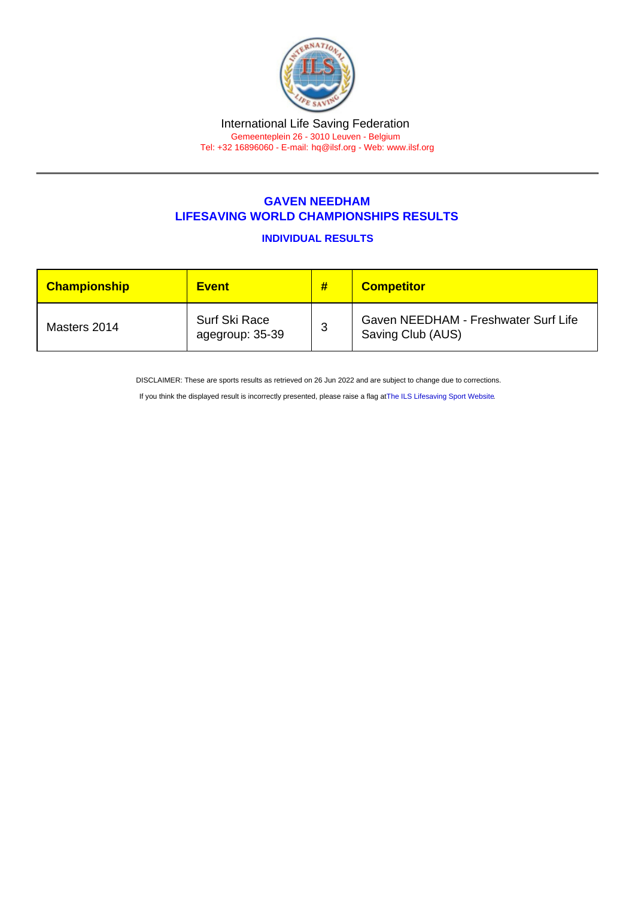## GAVEN NEEDHAM LIFESAVING WORLD CHAMPIONSHIPS RESULTS

INDIVIDUAL RESULTS

| <b>Championship</b> | <b>Event</b>                     | # | <b>Competitor</b>                                         |
|---------------------|----------------------------------|---|-----------------------------------------------------------|
| Masters 2014        | Surf Ski Race<br>agegroup: 35-39 | 3 | Gaven NEEDHAM - Freshwater Surf Life<br>Saving Club (AUS) |

DISCLAIMER: These are sports results as retrieved on 26 Jun 2022 and are subject to change due to corrections.

If you think the displayed result is incorrectly presented, please raise a flag at [The ILS Lifesaving Sport Website.](https://sport.ilsf.org)